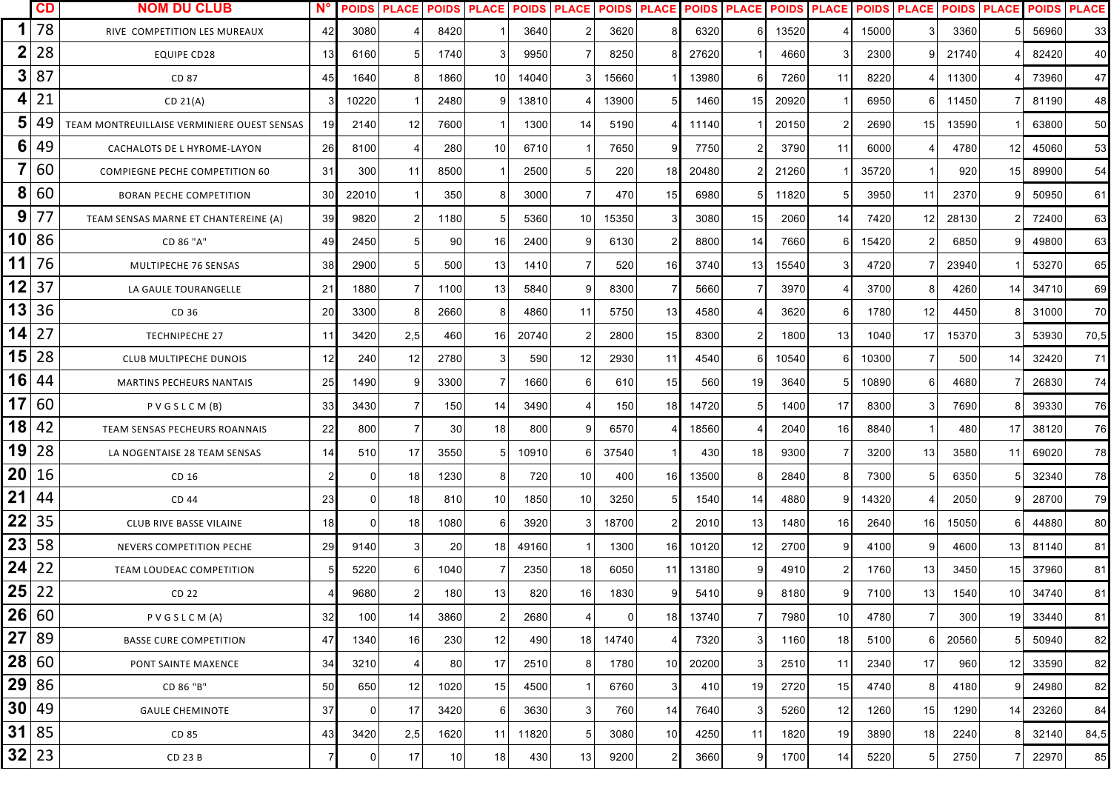|         | <b>CD</b> | <b>NOM DU CLUB</b>                          | N <sup>c</sup> | <b>POIDS</b>   | <b>PLACE</b> | <b>POIDS PLACE</b> |                |       | <b>POIDS PLACE</b> | <b>POIDS PLACE</b> |          | <b>POIDS</b> | <b>PLACE</b> | <b>POIDS</b> | <b>PLACE</b>    |       | <b>POIDS PLACE</b> |       | <b>POIDS PLACE</b> | <b>POIDS</b> | <b>PLACE</b> |
|---------|-----------|---------------------------------------------|----------------|----------------|--------------|--------------------|----------------|-------|--------------------|--------------------|----------|--------------|--------------|--------------|-----------------|-------|--------------------|-------|--------------------|--------------|--------------|
|         | 78        | RIVE COMPETITION LES MUREAUX                | 42             | 3080           |              | 8420               |                | 3640  |                    | 3620               |          | 6320         | 6            | 13520        |                 | 15000 | 3                  | 3360  |                    | 56960        | 33           |
| 2       | 28        | <b>EQUIPE CD28</b>                          | 13             | 6160           | 5            | 1740               | 3              | 9950  |                    | 8250               |          | 27620        |              | 4660         | З               | 2300  | 9                  | 21740 |                    | 82420        | 40           |
| 3       | 87        | CD 87                                       | 45             | 1640           | 8            | 1860               | 10             | 14040 |                    | 15660              |          | 13980        |              | 7260         | 11              | 8220  |                    | 11300 |                    | 73960        | 47           |
| 4       | 21        | CD 21(A)                                    |                | 10220          |              | 2480               | 9              | 13810 |                    | 13900              |          | 1460         | 15           | 20920        |                 | 6950  | 6                  | 11450 |                    | 81190        | 48           |
| 5       | 49        | TEAM MONTREUILLAISE VERMINIERE OUEST SENSAS | -19            | 2140           | 12           | 7600               |                | 1300  | 14                 | 5190               |          | 11140        |              | 20150        |                 | 2690  | 15                 | 13590 |                    | 63800        | 50           |
| 6       | 49        | CACHALOTS DE L HYROME-LAYON                 | 26             | 8100           |              | 280                | 10             | 6710  |                    | 7650               |          | 7750         |              | 3790         | 11              | 6000  |                    | 4780  | 12                 | 45060        | 53           |
|         | 60        | <b>COMPIEGNE PECHE COMPETITION 60</b>       | 31             | 300            | 11           | 8500               |                | 2500  |                    | 220                | 18       | 20480        |              | 21260        |                 | 35720 |                    | 920   | 15                 | 89900        | 54           |
| 8       | 60        | <b>BORAN PECHE COMPETITION</b>              | 30             | 22010          |              | 350                | 8              | 3000  |                    | 470                | 15       | 6980         |              | 11820        |                 | 3950  | 11                 | 2370  |                    | 50950        | 61           |
| 9       | 77        | TEAM SENSAS MARNE ET CHANTEREINE (A)        | 39             | 9820           | 2            | 1180               | 5              | 5360  | 10                 | 15350              |          | 3080         | 15           | 2060         | 14              | 7420  | 12                 | 28130 |                    | 72400        | 63           |
| 10      | 86        | CD 86 "A"                                   | 49             | 2450           | 5            | 90                 | 16             | 2400  | я                  | 6130               |          | 8800         | 14           | 7660         | 6               | 15420 | $\overline{2}$     | 6850  |                    | 49800        | 63           |
| 11      | 76        | MULTIPECHE 76 SENSAS                        | 38             | 2900           |              | 500                | 13             | 1410  |                    | 520                | 16       | 3740         | 13           | 15540        |                 | 4720  |                    | 23940 |                    | 53270        | 65           |
| 12      | 37        | LA GAULE TOURANGELLE                        | 21             | 1880           |              | 1100               | 13             | 5840  |                    | 8300               |          | 5660         |              | 3970         |                 | 3700  | 8                  | 4260  | 14                 | 34710        | 69           |
| 13      | 36        | CD 36                                       | 20             | 3300           | ု            | 2660               | 8              | 4860  | 11                 | 5750               | 13       | 4580         |              | 3620         | -6              | 1780  | 12                 | 4450  |                    | 31000        | 70           |
| 14      | 27        | <b>TECHNIPECHE 27</b>                       | 11             | 3420           | 2,5          | 460                | 16             | 20740 |                    | 2800               | 15       | 8300         |              | 1800         | 13              | 1040  | 17                 | 15370 |                    | 53930        | 70,5         |
| 15      | 28        | CLUB MULTIPECHE DUNOIS                      | - 12 I         | 240            | 12           | 2780               | 3              | 590   | 12                 | 2930               | 11       | 4540         | 6            | 10540        | 6               | 10300 | $\overline{7}$     | 500   | 14                 | 32420        | 71           |
| 16      | 44        | <b>MARTINS PECHEURS NANTAIS</b>             | 25             | 1490           | <b>O</b>     | 3300               | 7              | 1660  | 6                  | 610                | 15       | 560          | 19           | 3640         |                 | 10890 | 6                  | 4680  |                    | 26830        | 74           |
| 17      | 60        | PVGSLCM(B)                                  | 33             | 3430           |              | 150                | 14             | 3490  |                    | 150                | 18       | 14720        | 5            | 1400         | 17              | 8300  | 3                  | 7690  |                    | 39330        | 76           |
| 18      | 42        | TEAM SENSAS PECHEURS ROANNAIS               | 22             | 800            |              | 30                 | 18             | 800   | a                  | 6570               |          | 18560        |              | 2040         | 16              | 8840  |                    | 480   | 17                 | 38120        | 76           |
| 19      | 28        | LA NOGENTAISE 28 TEAM SENSAS                | 14             | 510            | 17           | 3550               | 5              | 10910 | 6                  | 37540              |          | 430          | 18           | 9300         | -7              | 3200  | 13                 | 3580  | 11                 | 69020        | 78           |
| 20      | 16        | CD 16                                       |                |                | 18           | 1230               | 8              | 720   | 10                 | 400                | 16       | 13500        |              | 2840         | -8              | 7300  | 5                  | 6350  |                    | 32340        | 78           |
| 21      | 44        | CD 44                                       | 23             | $\overline{0}$ | 18           | 810                | 10             | 1850  | 10                 | 3250               |          | 1540         | 14           | 4880         | 9               | 14320 | 4                  | 2050  |                    | 28700        | 79           |
| 22      | 35        | CLUB RIVE BASSE VILAINE                     | 18             | $\Omega$       | 18           | 1080               | 6              | 3920  |                    | 18700              |          | 2010         | 13           | 1480         | 16              | 2640  | 16                 | 15050 |                    | 44880        | 80           |
| 23      | 58        | NEVERS COMPETITION PECHE                    | 29             | 9140           | 3            | 20                 | 18             | 49160 |                    | 1300               | 16       | 10120        | 12           | 2700         | 9               | 4100  | 9                  | 4600  | 13 <sub>l</sub>    | 81140        | 81           |
| 24      | 22        | TEAM LOUDEAC COMPETITION                    |                | 5220           |              | 1040               |                | 2350  | 18                 | 6050               | 11       | 13180        |              | 4910         |                 | 1760  | 13                 | 3450  | 15 <sub>l</sub>    | 37960        | 81           |
| 25 22   |           | CD 22                                       |                | 9680           | $2 \vert$    | 180                | 13             | 820   | 16                 | 1830               | $\alpha$ | 5410         | 9            | 8180         | 9               | 7100  | 13                 | 1540  | 10                 | 34740        | 81           |
| 26 60   |           | PVGSLCM(A)                                  | 32             | 100            | 14           | 3860               | $\overline{2}$ | 2680  | $\overline{4}$     | $\Omega$           | 18       | 13740        |              | 7980         | 10 <sup>1</sup> | 4780  | $\overline{7}$     | 300   | 19 <sup>°</sup>    | 33440        | 81           |
| 27      | 89        | <b>BASSE CURE COMPETITION</b>               | 47             | 1340           | 16           | 230                | 12             | 490   | 18 <sup>1</sup>    | 14740              |          | 7320         | 3            | 1160         | 18              | 5100  | 6                  | 20560 | 5                  | 50940        | 82           |
| 28 60   |           | PONT SAINTE MAXENCE                         | 34             | 3210           |              | 80                 | 17             | 2510  | 8                  | 1780               | 10       | 20200        |              | 2510         | 11              | 2340  | 17                 | 960   | 12 <sub>l</sub>    | 33590        | 82           |
| 29 86   |           | CD 86 "B"                                   | 50             | 650            | 12           | 1020               | 15             | 4500  |                    | 6760               | 3        | 410          | 19           | 2720         | 15              | 4740  | 8                  | 4180  |                    | 24980        | 82           |
| 30 49   |           | <b>GAULE CHEMINOTE</b>                      | 37             |                | 17           | 3420               | 6              | 3630  |                    | 760                | 14       | 7640         |              | 5260         | 12              | 1260  | 15                 | 1290  | 14                 | 23260        | 84           |
| 31      | 85        | CD 85                                       | 43             | 3420           | 2,5          | 1620               | 11             | 11820 |                    | 3080               | 10       | 4250         | 11           | 1820         | 19              | 3890  | 18                 | 2240  |                    | 32140        | 84,5         |
| $32$ 23 |           | CD 23 B                                     |                | 0              | 17           | 10                 | 18             | 430   | 13                 | 9200               |          | 3660         | 9            | 1700         | 14              | 5220  | $5\phantom{.0}$    | 2750  |                    | 22970        | 85           |